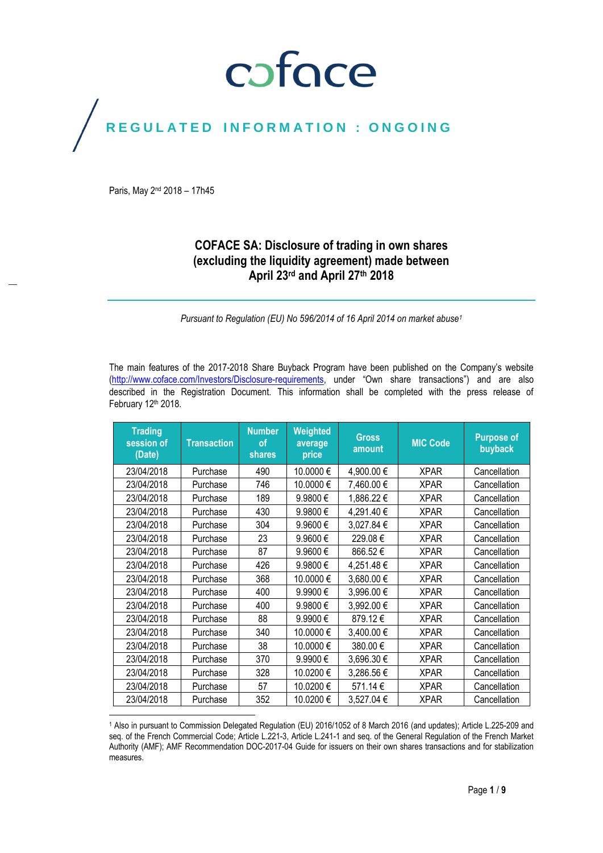## coface

## REGULATED INFORMATION : ONGOING

Paris, May 2nd 2018 – 17h45

 $\overline{\phantom{a}}$ 

### **COFACE SA: Disclosure of trading in own shares (excluding the liquidity agreement) made between April 23rd and April 27 th 2018**

*Pursuant to Regulation (EU) No 596/2014 of 16 April 2014 on market abuse<sup>1</sup>*

The main features of the 2017-2018 Share Buyback Program have been published on the Company's website [\(http://www.coface.com/Investors/Disclosure-requirements](http://www.coface.com/Investors/Disclosure-requirements), under "Own share transactions") and are also described in the Registration Document. This information shall be completed with the press release of February 12th 2018.

| <b>Trading</b><br>session of<br>(Date) | <b>Transaction</b> | <b>Number</b><br>οf<br>shares | Weighted<br>average<br>price | <b>Gross</b><br>amount | <b>MIC Code</b> | <b>Purpose of</b><br>buyback |
|----------------------------------------|--------------------|-------------------------------|------------------------------|------------------------|-----------------|------------------------------|
| 23/04/2018                             | Purchase           | 490                           | 10.0000€                     | 4,900.00 €             | <b>XPAR</b>     | Cancellation                 |
| 23/04/2018                             | Purchase           | 746                           | 10.0000€                     | 7,460.00 €             | <b>XPAR</b>     | Cancellation                 |
| 23/04/2018                             | Purchase           | 189                           | 9.9800€                      | 1,886.22 €             | <b>XPAR</b>     | Cancellation                 |
| 23/04/2018                             | Purchase           | 430                           | 9.9800€                      | 4,291.40 €             | <b>XPAR</b>     | Cancellation                 |
| 23/04/2018                             | Purchase           | 304                           | 9.9600€                      | 3,027.84 €             | <b>XPAR</b>     | Cancellation                 |
| 23/04/2018                             | Purchase           | 23                            | 9.9600€                      | 229.08€                | <b>XPAR</b>     | Cancellation                 |
| 23/04/2018                             | Purchase           | 87                            | 9.9600€                      | 866.52€                | <b>XPAR</b>     | Cancellation                 |
| 23/04/2018                             | Purchase           | 426                           | 9.9800€                      | 4,251.48€              | <b>XPAR</b>     | Cancellation                 |
| 23/04/2018                             | Purchase           | 368                           | 10.0000€                     | 3,680.00 €             | <b>XPAR</b>     | Cancellation                 |
| 23/04/2018                             | Purchase           | 400                           | 9.9900€                      | 3,996.00 €             | <b>XPAR</b>     | Cancellation                 |
| 23/04/2018                             | Purchase           | 400                           | 9.9800€                      | 3,992.00 €             | <b>XPAR</b>     | Cancellation                 |
| 23/04/2018                             | Purchase           | 88                            | 9.9900€                      | 879.12€                | <b>XPAR</b>     | Cancellation                 |
| 23/04/2018                             | Purchase           | 340                           | 10.0000€                     | 3,400.00 €             | <b>XPAR</b>     | Cancellation                 |
| 23/04/2018                             | Purchase           | 38                            | 10.0000€                     | 380.00€                | <b>XPAR</b>     | Cancellation                 |
| 23/04/2018                             | Purchase           | 370                           | 9.9900€                      | 3,696.30 €             | <b>XPAR</b>     | Cancellation                 |
| 23/04/2018                             | Purchase           | 328                           | 10.0200€                     | 3,286.56€              | <b>XPAR</b>     | Cancellation                 |
| 23/04/2018                             | Purchase           | 57                            | 10.0200€                     | 571.14€                | <b>XPAR</b>     | Cancellation                 |
| 23/04/2018                             | Purchase           | 352                           | 10.0200€                     | 3,527.04 €             | <b>XPAR</b>     | Cancellation                 |

<sup>1</sup> Also in pursuant to Commission Delegated Regulation (EU) 2016/1052 of 8 March 2016 (and updates); Article L.225-209 and seq. of the French Commercial Code; Article L.221-3, Article L.241-1 and seq. of the General Regulation of the French Market Authority (AMF); AMF Recommendation DOC-2017-04 Guide for issuers on their own shares transactions and for stabilization measures.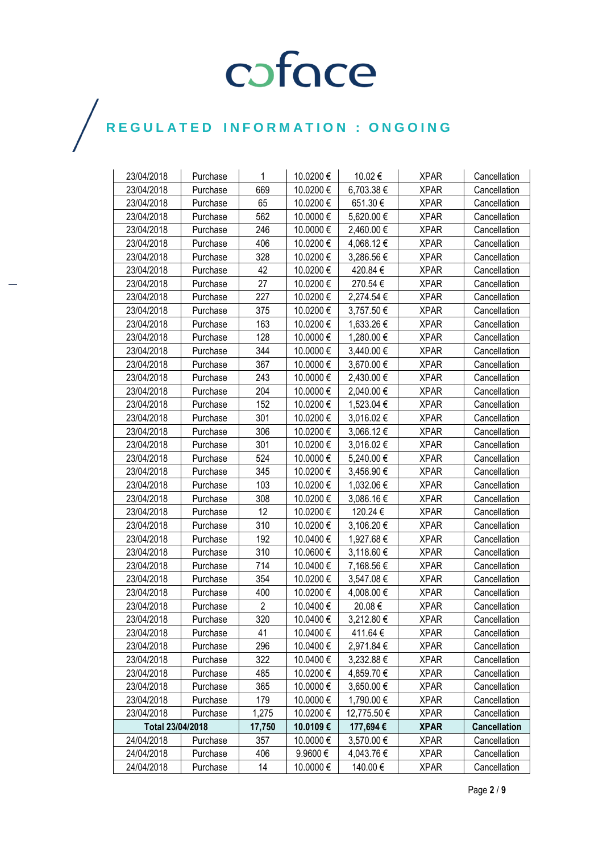| 23/04/2018       | Purchase | 1              | 10.0200€  | 10.02€      | <b>XPAR</b> | Cancellation        |
|------------------|----------|----------------|-----------|-------------|-------------|---------------------|
| 23/04/2018       | Purchase | 669            | 10.0200€  | 6,703.38 €  | <b>XPAR</b> | Cancellation        |
| 23/04/2018       | Purchase | 65             | 10.0200€  | 651.30€     | <b>XPAR</b> | Cancellation        |
| 23/04/2018       | Purchase | 562            | 10.0000 € | 5,620.00 €  | <b>XPAR</b> | Cancellation        |
| 23/04/2018       | Purchase | 246            | 10.0000 € | 2,460.00 €  | <b>XPAR</b> | Cancellation        |
| 23/04/2018       | Purchase | 406            | 10.0200€  | 4,068.12€   | <b>XPAR</b> | Cancellation        |
| 23/04/2018       | Purchase | 328            | 10.0200€  | 3,286.56€   | <b>XPAR</b> | Cancellation        |
| 23/04/2018       | Purchase | 42             | 10.0200€  | 420.84 €    | <b>XPAR</b> | Cancellation        |
| 23/04/2018       | Purchase | 27             | 10.0200€  | 270.54 €    | <b>XPAR</b> | Cancellation        |
| 23/04/2018       | Purchase | 227            | 10.0200€  | 2,274.54 €  | <b>XPAR</b> | Cancellation        |
| 23/04/2018       | Purchase | 375            | 10.0200€  | 3,757.50 €  | <b>XPAR</b> | Cancellation        |
| 23/04/2018       | Purchase | 163            | 10.0200€  | 1,633.26 €  | <b>XPAR</b> | Cancellation        |
| 23/04/2018       | Purchase | 128            | 10.0000 € | 1,280.00 €  | <b>XPAR</b> | Cancellation        |
| 23/04/2018       | Purchase | 344            | 10.0000 € | 3,440.00 €  | <b>XPAR</b> | Cancellation        |
| 23/04/2018       | Purchase | 367            | 10.0000€  | 3,670.00 €  | <b>XPAR</b> | Cancellation        |
| 23/04/2018       | Purchase | 243            | 10.0000 € | 2,430.00 €  | <b>XPAR</b> | Cancellation        |
| 23/04/2018       | Purchase | 204            | 10.0000 € | 2,040.00 €  | <b>XPAR</b> | Cancellation        |
| 23/04/2018       | Purchase | 152            | 10.0200 € | 1,523.04 €  | <b>XPAR</b> | Cancellation        |
| 23/04/2018       | Purchase | 301            | 10.0200€  | 3,016.02 €  | <b>XPAR</b> | Cancellation        |
| 23/04/2018       | Purchase | 306            | 10.0200€  | 3,066.12€   | <b>XPAR</b> | Cancellation        |
| 23/04/2018       | Purchase | 301            | 10.0200€  | 3,016.02€   | <b>XPAR</b> | Cancellation        |
| 23/04/2018       | Purchase | 524            | 10.0000 € | 5,240.00 €  | <b>XPAR</b> | Cancellation        |
| 23/04/2018       | Purchase | 345            | 10.0200€  | 3,456.90 €  | <b>XPAR</b> | Cancellation        |
| 23/04/2018       | Purchase | 103            | 10.0200€  | 1,032.06 €  | <b>XPAR</b> | Cancellation        |
| 23/04/2018       | Purchase | 308            | 10.0200€  | 3,086.16€   | <b>XPAR</b> | Cancellation        |
| 23/04/2018       | Purchase | 12             | 10.0200€  | 120.24 €    | <b>XPAR</b> | Cancellation        |
| 23/04/2018       | Purchase | 310            | 10.0200€  | 3,106.20 €  | <b>XPAR</b> | Cancellation        |
| 23/04/2018       | Purchase | 192            | 10.0400 € | 1,927.68 €  | <b>XPAR</b> | Cancellation        |
| 23/04/2018       | Purchase | 310            | 10.0600€  | 3,118.60 €  | <b>XPAR</b> | Cancellation        |
| 23/04/2018       | Purchase | 714            | 10.0400 € | 7,168.56 €  | <b>XPAR</b> | Cancellation        |
| 23/04/2018       | Purchase | 354            | 10.0200€  | 3,547.08 €  | <b>XPAR</b> | Cancellation        |
| 23/04/2018       | Purchase | 400            | 10.0200€  | 4,008.00 €  | <b>XPAR</b> | Cancellation        |
| 23/04/2018       | Purchase | $\overline{2}$ | 10.0400€  | 20.08€      | <b>XPAR</b> | Cancellation        |
| 23/04/2018       | Purchase | 320            | 10.0400€  | 3,212.80€   | <b>XPAR</b> | Cancellation        |
| 23/04/2018       | Purchase | 41             | 10.0400 € | 411.64 €    | <b>XPAR</b> | Cancellation        |
| 23/04/2018       | Purchase | 296            | 10.0400€  | 2,971.84 €  | <b>XPAR</b> | Cancellation        |
| 23/04/2018       | Purchase | 322            | 10.0400 € | 3,232.88 €  | <b>XPAR</b> | Cancellation        |
| 23/04/2018       | Purchase | 485            | 10.0200€  | 4,859.70 €  | <b>XPAR</b> | Cancellation        |
| 23/04/2018       | Purchase | 365            | 10.0000€  | 3,650.00 €  | <b>XPAR</b> | Cancellation        |
| 23/04/2018       | Purchase | 179            | 10.0000 € | 1,790.00 €  | <b>XPAR</b> | Cancellation        |
| 23/04/2018       | Purchase | 1,275          | 10.0200 € | 12,775.50 € | <b>XPAR</b> | Cancellation        |
| Total 23/04/2018 |          | 17,750         | 10.0109€  | 177,694€    | <b>XPAR</b> | <b>Cancellation</b> |
| 24/04/2018       | Purchase | 357            | 10.0000 € | 3,570.00 €  | <b>XPAR</b> | Cancellation        |
| 24/04/2018       | Purchase | 406            | 9.9600€   | 4,043.76 €  | <b>XPAR</b> | Cancellation        |
| 24/04/2018       | Purchase | 14             | 10.0000 € | 140.00 €    | <b>XPAR</b> | Cancellation        |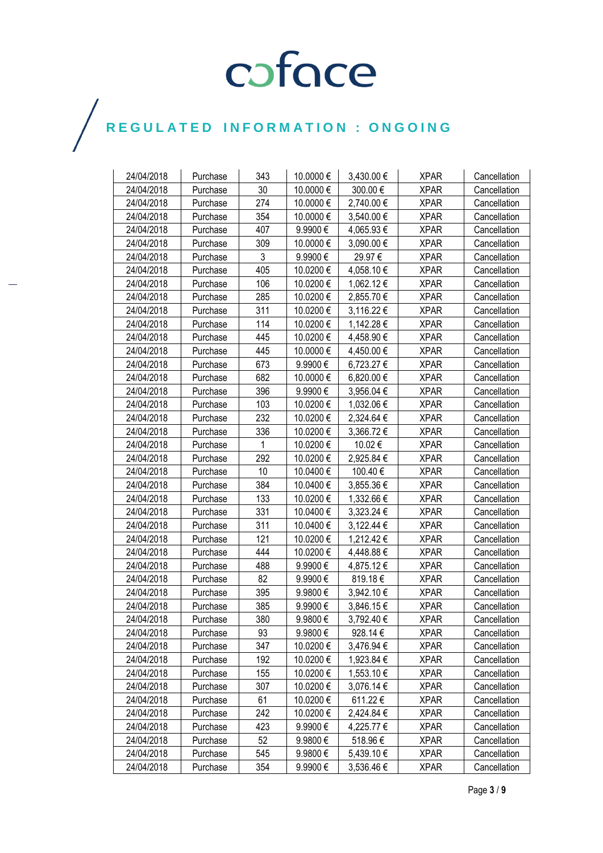| 24/04/2018 | Purchase | 343 | 10.0000 €    | 3,430.00 € | <b>XPAR</b> | Cancellation |
|------------|----------|-----|--------------|------------|-------------|--------------|
| 24/04/2018 | Purchase | 30  | 10.0000 €    | 300.00€    | <b>XPAR</b> | Cancellation |
| 24/04/2018 | Purchase | 274 | 10.0000 €    | 2,740.00 € | <b>XPAR</b> | Cancellation |
| 24/04/2018 | Purchase | 354 | 10.0000€     | 3,540.00 € | <b>XPAR</b> | Cancellation |
| 24/04/2018 | Purchase | 407 | 9.9900€      | 4,065.93€  | <b>XPAR</b> | Cancellation |
| 24/04/2018 | Purchase | 309 | 10.0000 €    | 3,090.00 € | <b>XPAR</b> | Cancellation |
| 24/04/2018 | Purchase | 3   | 9.9900€      | 29.97€     | <b>XPAR</b> | Cancellation |
| 24/04/2018 | Purchase | 405 | 10.0200€     | 4,058.10 € | <b>XPAR</b> | Cancellation |
| 24/04/2018 | Purchase | 106 | 10.0200€     | 1,062.12 € | <b>XPAR</b> | Cancellation |
| 24/04/2018 | Purchase | 285 | 10.0200€     | 2,855.70 € | <b>XPAR</b> | Cancellation |
| 24/04/2018 | Purchase | 311 | 10.0200€     | 3,116.22 € | <b>XPAR</b> | Cancellation |
| 24/04/2018 | Purchase | 114 | 10.0200€     | 1,142.28 € | <b>XPAR</b> | Cancellation |
| 24/04/2018 | Purchase | 445 | 10.0200€     | 4,458.90 € | <b>XPAR</b> | Cancellation |
| 24/04/2018 | Purchase | 445 | 10.0000€     | 4,450.00 € | <b>XPAR</b> | Cancellation |
| 24/04/2018 | Purchase | 673 | 9.9900€      | 6,723.27€  | <b>XPAR</b> | Cancellation |
| 24/04/2018 | Purchase | 682 | 10.0000 €    | 6,820.00 € | <b>XPAR</b> | Cancellation |
| 24/04/2018 | Purchase | 396 | 9.9900€      | 3,956.04 € | <b>XPAR</b> | Cancellation |
| 24/04/2018 | Purchase | 103 | 10.0200€     | 1,032.06 € | <b>XPAR</b> | Cancellation |
| 24/04/2018 | Purchase | 232 | 10.0200€     | 2,324.64 € | <b>XPAR</b> | Cancellation |
| 24/04/2018 | Purchase | 336 | 10.0200€     | 3,366.72€  | <b>XPAR</b> | Cancellation |
| 24/04/2018 | Purchase | 1   | 10.0200€     | 10.02€     | <b>XPAR</b> | Cancellation |
| 24/04/2018 | Purchase | 292 | 10.0200€     | 2,925.84 € | <b>XPAR</b> | Cancellation |
| 24/04/2018 | Purchase | 10  | 10.0400€     | 100.40 €   | <b>XPAR</b> | Cancellation |
| 24/04/2018 | Purchase | 384 | 10.0400€     | 3,855.36 € | <b>XPAR</b> | Cancellation |
| 24/04/2018 | Purchase | 133 | 10.0200€     | 1,332.66 € | <b>XPAR</b> | Cancellation |
| 24/04/2018 | Purchase | 331 | 10.0400 €    | 3,323.24 € | <b>XPAR</b> | Cancellation |
| 24/04/2018 | Purchase | 311 | 10.0400 €    | 3,122.44 € | <b>XPAR</b> | Cancellation |
| 24/04/2018 | Purchase | 121 | 10.0200€     | 1,212.42 € | <b>XPAR</b> | Cancellation |
| 24/04/2018 | Purchase | 444 | 10.0200€     | 4,448.88 € | <b>XPAR</b> | Cancellation |
| 24/04/2018 | Purchase | 488 | 9.9900€      | 4,875.12€  | <b>XPAR</b> | Cancellation |
| 24/04/2018 | Purchase | 82  | 9.9900€      | 819.18€    | <b>XPAR</b> | Cancellation |
| 24/04/2018 | Purchase | 395 | 9.9800€      | 3,942.10 € | <b>XPAR</b> | Cancellation |
| 24/04/2018 | Purchase | 385 | 9.9900€      | 3,846.15€  | <b>XPAR</b> | Cancellation |
| 24/04/2018 | Purchase | 380 | 9.9800€      | 3,792.40€  | <b>XPAR</b> | Cancellation |
| 24/04/2018 | Purchase | 93  | 9.9800€      | 928.14 €   | <b>XPAR</b> | Cancellation |
| 24/04/2018 | Purchase | 347 | 10.0200€     | 3,476.94 € | <b>XPAR</b> | Cancellation |
| 24/04/2018 | Purchase | 192 | 10.0200€     | 1,923.84 € | <b>XPAR</b> | Cancellation |
| 24/04/2018 | Purchase | 155 | 10.0200 €    | 1,553.10 € | <b>XPAR</b> | Cancellation |
| 24/04/2018 | Purchase | 307 | 10.0200€     | 3,076.14 € | <b>XPAR</b> | Cancellation |
| 24/04/2018 | Purchase | 61  | 10.0200€     | 611.22€    | <b>XPAR</b> | Cancellation |
| 24/04/2018 | Purchase | 242 | 10.0200 €    | 2,424.84 € | <b>XPAR</b> | Cancellation |
| 24/04/2018 | Purchase | 423 | 9.9900€      | 4,225.77 € | <b>XPAR</b> | Cancellation |
| 24/04/2018 | Purchase | 52  | 9.9800€      | 518.96€    | <b>XPAR</b> | Cancellation |
| 24/04/2018 | Purchase | 545 | $9.9800 \in$ | 5,439.10 € | <b>XPAR</b> | Cancellation |
| 24/04/2018 | Purchase | 354 | 9.9900€      | 3,536.46 € | <b>XPAR</b> | Cancellation |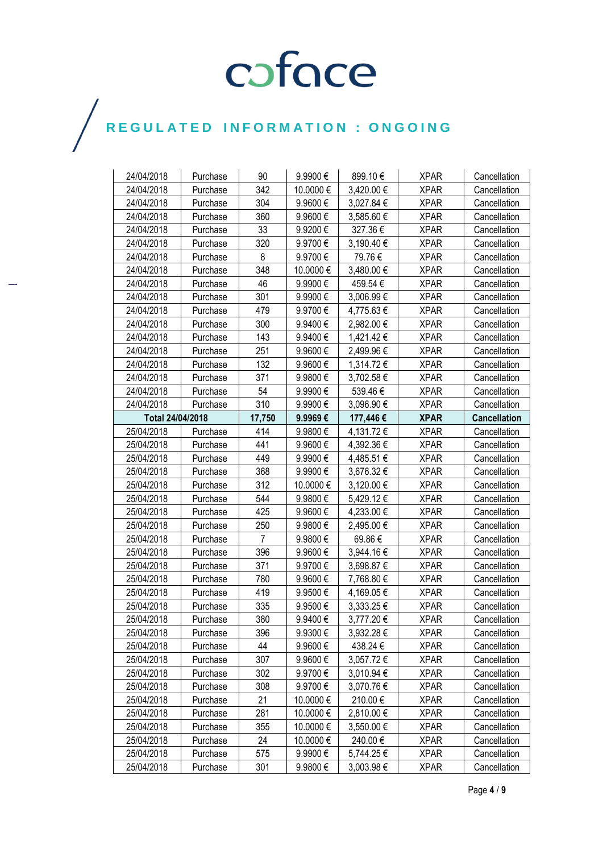| 24/04/2018<br>24/04/2018 | Purchase | 90<br>342 | 9.9900€      | 899.10€    | <b>XPAR</b> | Cancellation        |
|--------------------------|----------|-----------|--------------|------------|-------------|---------------------|
|                          | Purchase | 304       | 10.0000 €    | 3,420.00 € | <b>XPAR</b> | Cancellation        |
| 24/04/2018               | Purchase |           | 9.9600€      | 3,027.84 € | <b>XPAR</b> | Cancellation        |
| 24/04/2018               | Purchase | 360       | 9.9600€      | 3,585.60 € | <b>XPAR</b> | Cancellation        |
| 24/04/2018               | Purchase | 33        | 9.9200€      | 327.36€    | <b>XPAR</b> | Cancellation        |
| 24/04/2018               | Purchase | 320       | 9.9700€      | 3,190.40 € | <b>XPAR</b> | Cancellation        |
| 24/04/2018               | Purchase | 8         | 9.9700€      | 79.76€     | <b>XPAR</b> | Cancellation        |
| 24/04/2018               | Purchase | 348       | 10.0000 €    | 3,480.00 € | <b>XPAR</b> | Cancellation        |
| 24/04/2018               | Purchase | 46        | 9.9900€      | 459.54 €   | <b>XPAR</b> | Cancellation        |
| 24/04/2018               | Purchase | 301       | 9.9900€      | 3,006.99€  | <b>XPAR</b> | Cancellation        |
| 24/04/2018               | Purchase | 479       | 9.9700€      | 4,775.63 € | <b>XPAR</b> | Cancellation        |
| 24/04/2018               | Purchase | 300       | 9.9400€      | 2,982.00 € | <b>XPAR</b> | Cancellation        |
| 24/04/2018               | Purchase | 143       | 9.9400€      | 1,421.42 € | <b>XPAR</b> | Cancellation        |
| 24/04/2018               | Purchase | 251       | 9.9600€      | 2,499.96 € | <b>XPAR</b> | Cancellation        |
| 24/04/2018               | Purchase | 132       | 9.9600€      | 1,314.72 € | <b>XPAR</b> | Cancellation        |
| 24/04/2018               | Purchase | 371       | 9.9800€      | 3,702.58 € | <b>XPAR</b> | Cancellation        |
| 24/04/2018               | Purchase | 54        | 9.9900€      | 539.46€    | <b>XPAR</b> | Cancellation        |
| 24/04/2018               | Purchase | 310       | 9.9900€      | 3,096.90 € | <b>XPAR</b> | Cancellation        |
| Total 24/04/2018         |          | 17,750    | $9.9969 \in$ | 177,446€   | <b>XPAR</b> | <b>Cancellation</b> |
| 25/04/2018               | Purchase | 414       | 9.9800€      | 4,131.72 € | <b>XPAR</b> | Cancellation        |
| 25/04/2018               | Purchase | 441       | 9.9600€      | 4,392.36 € | <b>XPAR</b> | Cancellation        |
| 25/04/2018               | Purchase | 449       | 9.9900€      | 4,485.51 € | <b>XPAR</b> | Cancellation        |
| 25/04/2018               | Purchase | 368       | 9.9900€      | 3,676.32 € | <b>XPAR</b> | Cancellation        |
| 25/04/2018               | Purchase | 312       | 10.0000€     | 3,120.00 € | <b>XPAR</b> | Cancellation        |
| 25/04/2018               | Purchase | 544       | 9.9800€      | 5,429.12€  | <b>XPAR</b> | Cancellation        |
| 25/04/2018               | Purchase | 425       | 9.9600€      | 4,233.00 € | <b>XPAR</b> | Cancellation        |
| 25/04/2018               | Purchase | 250       | 9.9800€      | 2,495.00 € | <b>XPAR</b> | Cancellation        |
| 25/04/2018               | Purchase | 7         | 9.9800€      | 69.86€     | <b>XPAR</b> | Cancellation        |
| 25/04/2018               | Purchase | 396       | 9.9600€      | 3,944.16 € | <b>XPAR</b> | Cancellation        |
| 25/04/2018               | Purchase | 371       | 9.9700€      | 3,698.87 € | <b>XPAR</b> | Cancellation        |
| 25/04/2018               | Purchase | 780       | $9.9600 \in$ | 7,768.80 € | <b>XPAR</b> | Cancellation        |
| 25/04/2018               | Purchase | 419       | 9.9500€      | 4,169.05 € | <b>XPAR</b> | Cancellation        |
| 25/04/2018               | Purchase | 335       | 9.9500€      | 3,333.25 € | <b>XPAR</b> | Cancellation        |
| 25/04/2018               | Purchase | 380       | 9.9400€      | 3,777.20€  | <b>XPAR</b> | Cancellation        |
| 25/04/2018               | Purchase | 396       | 9.9300€      | 3,932.28 € | <b>XPAR</b> | Cancellation        |
| 25/04/2018               | Purchase | 44        | $9.9600 \in$ | 438.24 €   | <b>XPAR</b> | Cancellation        |
| 25/04/2018               | Purchase | 307       | 9.9600€      | 3,057.72€  | <b>XPAR</b> | Cancellation        |
| 25/04/2018               | Purchase | 302       | 9.9700€      | 3,010.94 € | <b>XPAR</b> | Cancellation        |
| 25/04/2018               | Purchase | 308       | 9.9700€      | 3,070.76€  | <b>XPAR</b> | Cancellation        |
| 25/04/2018               | Purchase | 21        | 10.0000 €    | 210.00€    | <b>XPAR</b> | Cancellation        |
| 25/04/2018               | Purchase | 281       | 10.0000 €    | 2,810.00 € | <b>XPAR</b> | Cancellation        |
| 25/04/2018               | Purchase | 355       | 10.0000 €    | 3,550.00 € | <b>XPAR</b> | Cancellation        |
| 25/04/2018               | Purchase | 24        | 10.0000 €    | 240.00€    | <b>XPAR</b> | Cancellation        |
| 25/04/2018               | Purchase | 575       | 9.9900€      | 5,744.25 € | <b>XPAR</b> | Cancellation        |
| 25/04/2018               | Purchase | 301       | 9.9800€      | 3,003.98€  | <b>XPAR</b> | Cancellation        |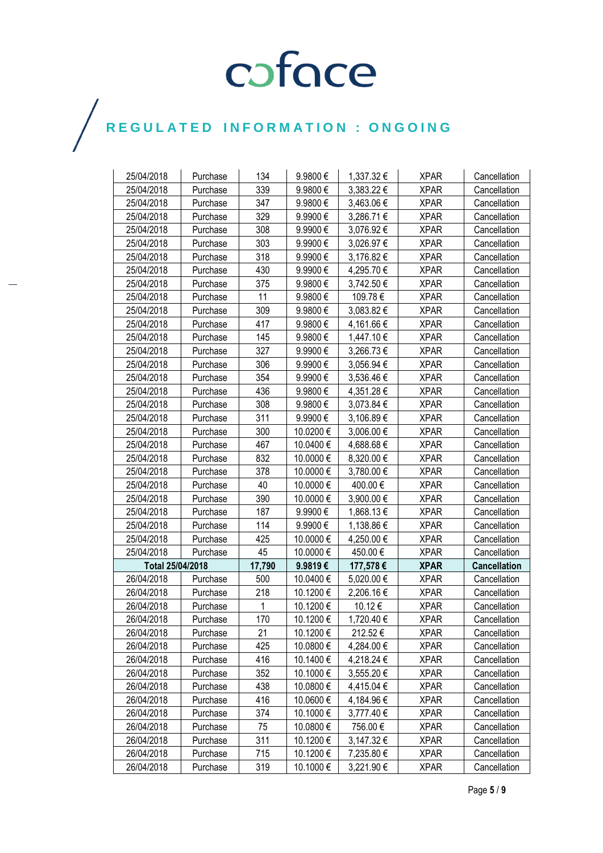| 25/04/2018       | Purchase | 134    | 9.9800€   | 1,337.32 € | <b>XPAR</b> | Cancellation        |
|------------------|----------|--------|-----------|------------|-------------|---------------------|
| 25/04/2018       | Purchase | 339    | 9.9800€   | 3,383.22 € | <b>XPAR</b> | Cancellation        |
| 25/04/2018       | Purchase | 347    | 9.9800€   | 3,463.06 € | <b>XPAR</b> | Cancellation        |
| 25/04/2018       | Purchase | 329    | 9.9900€   | 3,286.71 € | <b>XPAR</b> | Cancellation        |
| 25/04/2018       | Purchase | 308    | 9.9900€   | 3,076.92 € | <b>XPAR</b> | Cancellation        |
| 25/04/2018       | Purchase | 303    | 9.9900€   | 3,026.97 € | <b>XPAR</b> | Cancellation        |
| 25/04/2018       | Purchase | 318    | 9.9900€   | 3,176.82 € | <b>XPAR</b> | Cancellation        |
| 25/04/2018       | Purchase | 430    | 9.9900€   | 4,295.70 € | <b>XPAR</b> | Cancellation        |
| 25/04/2018       | Purchase | 375    | 9.9800€   | 3,742.50 € | <b>XPAR</b> | Cancellation        |
| 25/04/2018       | Purchase | 11     | 9.9800€   | 109.78€    | <b>XPAR</b> | Cancellation        |
| 25/04/2018       | Purchase | 309    | 9.9800€   | 3,083.82 € | <b>XPAR</b> | Cancellation        |
| 25/04/2018       | Purchase | 417    | 9.9800€   | 4,161.66 € | <b>XPAR</b> | Cancellation        |
| 25/04/2018       | Purchase | 145    | 9.9800€   | 1,447.10 € | <b>XPAR</b> | Cancellation        |
| 25/04/2018       | Purchase | 327    | 9.9900€   | 3,266.73€  | <b>XPAR</b> | Cancellation        |
| 25/04/2018       | Purchase | 306    | 9.9900€   | 3,056.94 € | <b>XPAR</b> | Cancellation        |
| 25/04/2018       | Purchase | 354    | 9.9900€   | 3,536.46 € | <b>XPAR</b> | Cancellation        |
| 25/04/2018       | Purchase | 436    | 9.9800€   | 4,351.28 € | <b>XPAR</b> | Cancellation        |
| 25/04/2018       | Purchase | 308    | 9.9800€   | 3,073.84 € | <b>XPAR</b> | Cancellation        |
| 25/04/2018       | Purchase | 311    | 9.9900€   | 3,106.89€  | <b>XPAR</b> | Cancellation        |
| 25/04/2018       | Purchase | 300    | 10.0200€  | 3,006.00 € | <b>XPAR</b> | Cancellation        |
| 25/04/2018       | Purchase | 467    | 10.0400 € | 4,688.68€  | <b>XPAR</b> | Cancellation        |
| 25/04/2018       | Purchase | 832    | 10.0000 € | 8,320.00 € | <b>XPAR</b> | Cancellation        |
| 25/04/2018       | Purchase | 378    | 10.0000 € | 3,780.00 € | <b>XPAR</b> | Cancellation        |
| 25/04/2018       | Purchase | 40     | 10.0000 € | 400.00€    | <b>XPAR</b> | Cancellation        |
| 25/04/2018       | Purchase | 390    | 10.0000 € | 3,900.00 € | <b>XPAR</b> | Cancellation        |
| 25/04/2018       | Purchase | 187    | 9.9900€   | 1,868.13 € | <b>XPAR</b> | Cancellation        |
| 25/04/2018       | Purchase | 114    | 9.9900€   | 1,138.86 € | <b>XPAR</b> | Cancellation        |
| 25/04/2018       | Purchase | 425    | 10.0000 € | 4,250.00 € | <b>XPAR</b> | Cancellation        |
| 25/04/2018       | Purchase | 45     | 10.0000 € | 450.00 €   | <b>XPAR</b> | Cancellation        |
| Total 25/04/2018 |          | 17,790 | 9.9819€   | 177,578€   | <b>XPAR</b> | <b>Cancellation</b> |
| 26/04/2018       | Purchase | 500    | 10.0400 € | 5,020.00 € | <b>XPAR</b> | Cancellation        |
| 26/04/2018       | Purchase | 218    | 10.1200€  | 2,206.16€  | <b>XPAR</b> | Cancellation        |
| 26/04/2018       | Purchase | 1      | 10.1200€  | 10.12€     | <b>XPAR</b> | Cancellation        |
| 26/04/2018       | Purchase | 170    | 10.1200€  | 1,720.40 € | <b>XPAR</b> | Cancellation        |
| 26/04/2018       | Purchase | 21     | 10.1200 € | 212.52€    | <b>XPAR</b> | Cancellation        |
| 26/04/2018       | Purchase | 425    | 10.0800€  | 4,284.00 € | <b>XPAR</b> | Cancellation        |
| 26/04/2018       | Purchase | 416    | 10.1400 € | 4,218.24 € | <b>XPAR</b> | Cancellation        |
| 26/04/2018       | Purchase | 352    | 10.1000€  | 3,555.20 € | <b>XPAR</b> | Cancellation        |
| 26/04/2018       | Purchase | 438    | 10.0800€  | 4,415.04 € | <b>XPAR</b> | Cancellation        |
| 26/04/2018       | Purchase | 416    | 10.0600€  | 4,184.96€  | <b>XPAR</b> | Cancellation        |
| 26/04/2018       | Purchase | 374    | 10.1000 € | 3,777.40 € | <b>XPAR</b> | Cancellation        |
| 26/04/2018       | Purchase | 75     | 10.0800€  | 756.00€    | <b>XPAR</b> | Cancellation        |
| 26/04/2018       | Purchase | 311    | 10.1200€  | 3,147.32 € | <b>XPAR</b> | Cancellation        |
| 26/04/2018       | Purchase | 715    | 10.1200€  | 7,235.80 € | <b>XPAR</b> | Cancellation        |
| 26/04/2018       | Purchase | 319    | 10.1000 € | 3,221.90 € | <b>XPAR</b> | Cancellation        |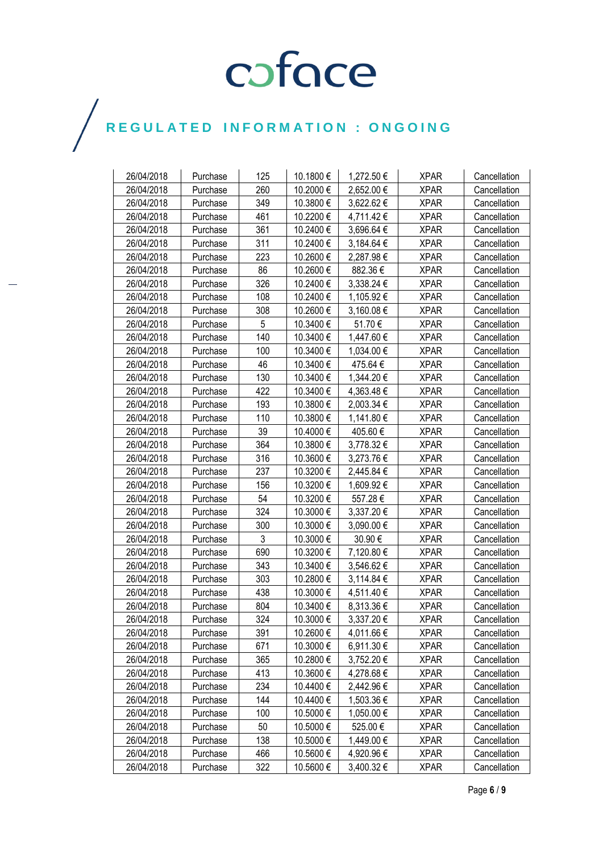| 26/04/2018 | Purchase | 125 | 10.1800€  | 1,272.50 € | <b>XPAR</b> | Cancellation |
|------------|----------|-----|-----------|------------|-------------|--------------|
| 26/04/2018 | Purchase | 260 | 10.2000€  | 2,652.00 € | <b>XPAR</b> | Cancellation |
| 26/04/2018 | Purchase | 349 | 10.3800€  | 3,622.62 € | <b>XPAR</b> | Cancellation |
| 26/04/2018 | Purchase | 461 | 10.2200€  | 4,711.42€  | <b>XPAR</b> | Cancellation |
| 26/04/2018 | Purchase | 361 | 10.2400€  | 3,696.64 € | <b>XPAR</b> | Cancellation |
| 26/04/2018 | Purchase | 311 | 10.2400€  | 3,184.64 € | <b>XPAR</b> | Cancellation |
| 26/04/2018 | Purchase | 223 | 10.2600€  | 2,287.98 € | <b>XPAR</b> | Cancellation |
| 26/04/2018 | Purchase | 86  | 10.2600€  | 882.36€    | <b>XPAR</b> | Cancellation |
| 26/04/2018 | Purchase | 326 | 10.2400€  | 3,338.24 € | <b>XPAR</b> | Cancellation |
| 26/04/2018 | Purchase | 108 | 10.2400€  | 1,105.92 € | <b>XPAR</b> | Cancellation |
| 26/04/2018 | Purchase | 308 | 10.2600€  | 3,160.08 € | <b>XPAR</b> | Cancellation |
| 26/04/2018 | Purchase | 5   | 10.3400 € | 51.70€     | <b>XPAR</b> | Cancellation |
| 26/04/2018 | Purchase | 140 | 10.3400 € | 1,447.60 € | <b>XPAR</b> | Cancellation |
| 26/04/2018 | Purchase | 100 | 10.3400€  | 1,034.00 € | <b>XPAR</b> | Cancellation |
| 26/04/2018 | Purchase | 46  | 10.3400€  | 475.64 €   | <b>XPAR</b> | Cancellation |
| 26/04/2018 | Purchase | 130 | 10.3400€  | 1,344.20 € | <b>XPAR</b> | Cancellation |
| 26/04/2018 | Purchase | 422 | 10.3400€  | 4,363.48 € | <b>XPAR</b> | Cancellation |
| 26/04/2018 | Purchase | 193 | 10.3800€  | 2,003.34 € | <b>XPAR</b> | Cancellation |
| 26/04/2018 | Purchase | 110 | 10.3800€  | 1,141.80 € | <b>XPAR</b> | Cancellation |
| 26/04/2018 | Purchase | 39  | 10.4000 € | 405.60€    | <b>XPAR</b> | Cancellation |
| 26/04/2018 | Purchase | 364 | 10.3800€  | 3,778.32 € | <b>XPAR</b> | Cancellation |
| 26/04/2018 | Purchase | 316 | 10.3600€  | 3,273.76 € | <b>XPAR</b> | Cancellation |
| 26/04/2018 | Purchase | 237 | 10.3200€  | 2,445.84 € | <b>XPAR</b> | Cancellation |
| 26/04/2018 | Purchase | 156 | 10.3200€  | 1,609.92 € | <b>XPAR</b> | Cancellation |
| 26/04/2018 | Purchase | 54  | 10.3200€  | 557.28€    | <b>XPAR</b> | Cancellation |
| 26/04/2018 | Purchase | 324 | 10.3000 € | 3,337.20 € | <b>XPAR</b> | Cancellation |
| 26/04/2018 | Purchase | 300 | 10.3000 € | 3,090.00 € | <b>XPAR</b> | Cancellation |
| 26/04/2018 | Purchase | 3   | 10.3000€  | 30.90€     | <b>XPAR</b> | Cancellation |
| 26/04/2018 | Purchase | 690 | 10.3200€  | 7,120.80 € | <b>XPAR</b> | Cancellation |
| 26/04/2018 | Purchase | 343 | 10.3400 € | 3,546.62 € | <b>XPAR</b> | Cancellation |
| 26/04/2018 | Purchase | 303 | 10.2800 € | 3,114.84 € | <b>XPAR</b> | Cancellation |
| 26/04/2018 | Purchase | 438 | 10.3000 € | 4,511.40 € | <b>XPAR</b> | Cancellation |
| 26/04/2018 | Purchase | 804 | 10.3400€  | 8,313.36 € | <b>XPAR</b> | Cancellation |
| 26/04/2018 | Purchase | 324 | 10.3000€  | 3,337.20€  | <b>XPAR</b> | Cancellation |
| 26/04/2018 | Purchase | 391 | 10.2600€  | 4,011.66 € | <b>XPAR</b> | Cancellation |
| 26/04/2018 | Purchase | 671 | 10.3000 € | 6,911.30 € | <b>XPAR</b> | Cancellation |
| 26/04/2018 | Purchase | 365 | 10.2800 € | 3,752.20€  | <b>XPAR</b> | Cancellation |
| 26/04/2018 | Purchase | 413 | 10.3600€  | 4,278.68 € | <b>XPAR</b> | Cancellation |
| 26/04/2018 | Purchase | 234 | 10.4400 € | 2,442.96€  | <b>XPAR</b> | Cancellation |
| 26/04/2018 | Purchase | 144 | 10.4400 € | 1,503.36 € | <b>XPAR</b> | Cancellation |
| 26/04/2018 | Purchase | 100 | 10.5000 € | 1,050.00 € | <b>XPAR</b> | Cancellation |
| 26/04/2018 | Purchase | 50  | 10.5000€  | 525.00€    | <b>XPAR</b> | Cancellation |
| 26/04/2018 | Purchase | 138 | 10.5000€  | 1,449.00 € | <b>XPAR</b> | Cancellation |
| 26/04/2018 | Purchase | 466 | 10.5600€  | 4,920.96 € | <b>XPAR</b> | Cancellation |
| 26/04/2018 | Purchase | 322 | 10.5600 € | 3,400.32 € | <b>XPAR</b> | Cancellation |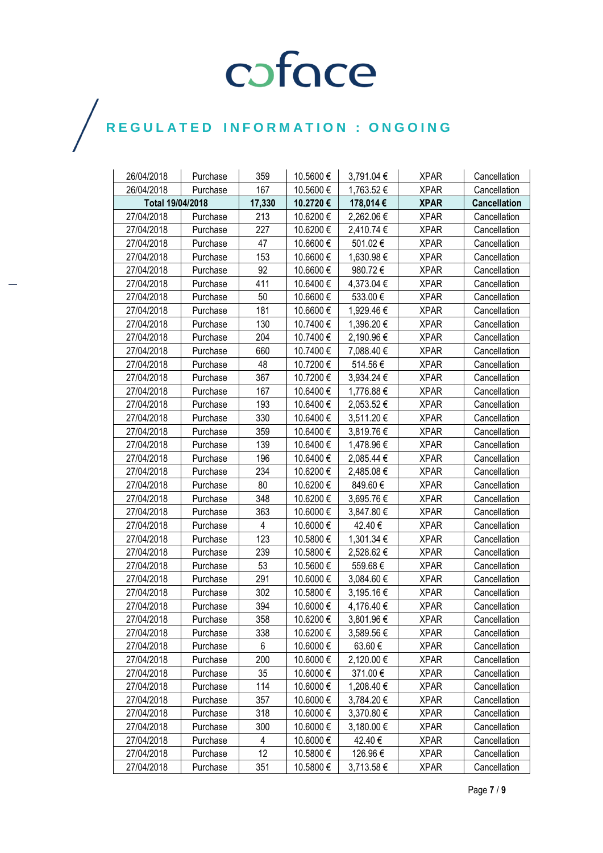| 26/04/2018       | Purchase | 359    | 10.5600€  | 3,791.04 € | <b>XPAR</b> | Cancellation        |
|------------------|----------|--------|-----------|------------|-------------|---------------------|
| 26/04/2018       | Purchase | 167    | 10.5600€  | 1,763.52 € | <b>XPAR</b> | Cancellation        |
| Total 19/04/2018 |          | 17,330 | 10.2720€  | 178,014 €  | <b>XPAR</b> | <b>Cancellation</b> |
| 27/04/2018       | Purchase | 213    | 10.6200€  | 2,262.06 € | <b>XPAR</b> | Cancellation        |
| 27/04/2018       | Purchase | 227    | 10.6200€  | 2,410.74 € | <b>XPAR</b> | Cancellation        |
| 27/04/2018       | Purchase | 47     | 10.6600€  | 501.02€    | <b>XPAR</b> | Cancellation        |
| 27/04/2018       | Purchase | 153    | 10.6600€  | 1,630.98 € | <b>XPAR</b> | Cancellation        |
| 27/04/2018       | Purchase | 92     | 10.6600€  | 980.72€    | <b>XPAR</b> | Cancellation        |
| 27/04/2018       | Purchase | 411    | 10.6400€  | 4,373.04 € | <b>XPAR</b> | Cancellation        |
| 27/04/2018       | Purchase | 50     | 10.6600€  | 533.00€    | <b>XPAR</b> | Cancellation        |
| 27/04/2018       | Purchase | 181    | 10.6600€  | 1,929.46 € | <b>XPAR</b> | Cancellation        |
| 27/04/2018       | Purchase | 130    | 10.7400€  | 1,396.20 € | <b>XPAR</b> | Cancellation        |
| 27/04/2018       | Purchase | 204    | 10.7400€  | 2,190.96 € | <b>XPAR</b> | Cancellation        |
| 27/04/2018       | Purchase | 660    | 10.7400€  | 7,088.40 € | <b>XPAR</b> | Cancellation        |
| 27/04/2018       | Purchase | 48     | 10.7200€  | 514.56€    | <b>XPAR</b> | Cancellation        |
| 27/04/2018       | Purchase | 367    | 10.7200€  | 3,934.24 € | <b>XPAR</b> | Cancellation        |
| 27/04/2018       | Purchase | 167    | 10.6400 € | 1,776.88 € | <b>XPAR</b> | Cancellation        |
| 27/04/2018       | Purchase | 193    | 10.6400€  | 2,053.52€  | <b>XPAR</b> | Cancellation        |
| 27/04/2018       | Purchase | 330    | 10.6400€  | 3,511.20 € | <b>XPAR</b> | Cancellation        |
| 27/04/2018       | Purchase | 359    | 10.6400€  | 3,819.76 € | <b>XPAR</b> | Cancellation        |
| 27/04/2018       | Purchase | 139    | 10.6400€  | 1,478.96 € | <b>XPAR</b> | Cancellation        |
| 27/04/2018       | Purchase | 196    | 10.6400€  | 2,085.44 € | <b>XPAR</b> | Cancellation        |
| 27/04/2018       | Purchase | 234    | 10.6200€  | 2,485.08 € | <b>XPAR</b> | Cancellation        |
| 27/04/2018       | Purchase | 80     | 10.6200€  | 849.60 €   | <b>XPAR</b> | Cancellation        |
| 27/04/2018       | Purchase | 348    | 10.6200€  | 3,695.76€  | <b>XPAR</b> | Cancellation        |
| 27/04/2018       | Purchase | 363    | 10.6000€  | 3,847.80 € | <b>XPAR</b> | Cancellation        |
| 27/04/2018       | Purchase | 4      | 10.6000 € | 42.40€     | <b>XPAR</b> | Cancellation        |
| 27/04/2018       | Purchase | 123    | 10.5800€  | 1,301.34 € | <b>XPAR</b> | Cancellation        |
| 27/04/2018       | Purchase | 239    | 10.5800€  | 2,528.62 € | <b>XPAR</b> | Cancellation        |
| 27/04/2018       | Purchase | 53     | 10.5600€  | 559.68€    | <b>XPAR</b> | Cancellation        |
| 27/04/2018       | Purchase | 291    | 10.6000 € | 3,084.60 € | <b>XPAR</b> | Cancellation        |
| 27/04/2018       | Purchase | 302    | 10.5800€  | 3,195.16 € | <b>XPAR</b> | Cancellation        |
| 27/04/2018       | Purchase | 394    | 10.6000€  | 4,176.40 € | <b>XPAR</b> | Cancellation        |
| 27/04/2018       | Purchase | 358    | 10.6200€  | 3,801.96 € | <b>XPAR</b> | Cancellation        |
| 27/04/2018       | Purchase | 338    | 10.6200 € | 3,589.56 € | <b>XPAR</b> | Cancellation        |
| 27/04/2018       | Purchase | 6      | 10.6000 € | 63.60€     | <b>XPAR</b> | Cancellation        |
| 27/04/2018       | Purchase | 200    | 10.6000 € | 2,120.00 € | <b>XPAR</b> | Cancellation        |
| 27/04/2018       | Purchase | 35     | 10.6000 € | 371.00€    | <b>XPAR</b> | Cancellation        |
| 27/04/2018       | Purchase | 114    | 10.6000€  | 1,208.40 € | <b>XPAR</b> | Cancellation        |
| 27/04/2018       | Purchase | 357    | 10.6000 € | 3,784.20 € | <b>XPAR</b> | Cancellation        |
| 27/04/2018       | Purchase | 318    | 10.6000 € | 3,370.80 € | <b>XPAR</b> | Cancellation        |
| 27/04/2018       | Purchase | 300    | 10.6000€  | 3,180.00 € | <b>XPAR</b> | Cancellation        |
| 27/04/2018       | Purchase | 4      | 10.6000 € | 42.40 €    | <b>XPAR</b> | Cancellation        |
| 27/04/2018       | Purchase | 12     | 10.5800€  | 126.96€    | <b>XPAR</b> | Cancellation        |
| 27/04/2018       | Purchase | 351    | 10.5800 € | 3,713.58 € | <b>XPAR</b> | Cancellation        |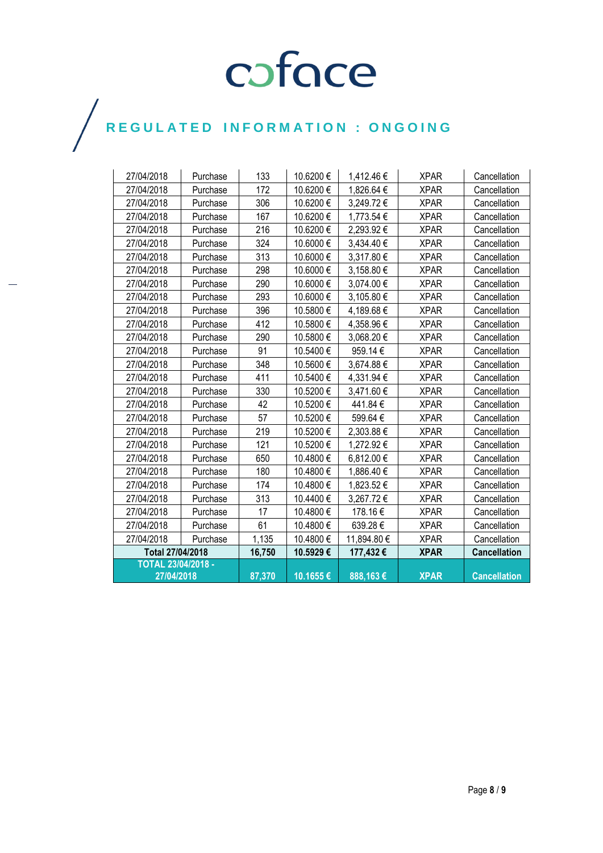| 27/04/2018                | Purchase | 133    | 10.6200€ | 1,412.46€   | <b>XPAR</b> | Cancellation        |
|---------------------------|----------|--------|----------|-------------|-------------|---------------------|
| 27/04/2018                | Purchase | 172    | 10.6200€ | 1,826.64 €  | <b>XPAR</b> | Cancellation        |
| 27/04/2018                | Purchase | 306    | 10.6200€ | 3,249.72€   | <b>XPAR</b> | Cancellation        |
| 27/04/2018                | Purchase | 167    | 10.6200€ | 1,773.54 €  | <b>XPAR</b> | Cancellation        |
| 27/04/2018                | Purchase | 216    | 10.6200€ | 2,293.92 €  | <b>XPAR</b> | Cancellation        |
| 27/04/2018                | Purchase | 324    | 10.6000€ | 3,434.40 €  | <b>XPAR</b> | Cancellation        |
| 27/04/2018                | Purchase | 313    | 10.6000€ | 3,317.80 €  | <b>XPAR</b> | Cancellation        |
| 27/04/2018                | Purchase | 298    | 10.6000€ | 3,158.80 €  | <b>XPAR</b> | Cancellation        |
| 27/04/2018                | Purchase | 290    | 10.6000€ | 3,074.00 €  | <b>XPAR</b> | Cancellation        |
| 27/04/2018                | Purchase | 293    | 10.6000€ | 3,105.80 €  | <b>XPAR</b> | Cancellation        |
| 27/04/2018                | Purchase | 396    | 10.5800€ | 4,189.68€   | <b>XPAR</b> | Cancellation        |
| 27/04/2018                | Purchase | 412    | 10.5800€ | 4,358.96€   | <b>XPAR</b> | Cancellation        |
| 27/04/2018                | Purchase | 290    | 10.5800€ | 3,068.20€   | <b>XPAR</b> | Cancellation        |
| 27/04/2018                | Purchase | 91     | 10.5400€ | 959.14€     | <b>XPAR</b> | Cancellation        |
| 27/04/2018                | Purchase | 348    | 10.5600€ | 3,674.88 €  | <b>XPAR</b> | Cancellation        |
| 27/04/2018                | Purchase | 411    | 10.5400€ | 4.331.94 €  | <b>XPAR</b> | Cancellation        |
| 27/04/2018                | Purchase | 330    | 10.5200€ | 3,471.60 €  | <b>XPAR</b> | Cancellation        |
| 27/04/2018                | Purchase | 42     | 10.5200€ | 441.84€     | <b>XPAR</b> | Cancellation        |
| 27/04/2018                | Purchase | 57     | 10.5200€ | 599.64€     | <b>XPAR</b> | Cancellation        |
| 27/04/2018                | Purchase | 219    | 10.5200€ | 2,303.88 €  | <b>XPAR</b> | Cancellation        |
| 27/04/2018                | Purchase | 121    | 10.5200€ | 1,272.92 €  | <b>XPAR</b> | Cancellation        |
| 27/04/2018                | Purchase | 650    | 10.4800€ | 6,812.00 €  | <b>XPAR</b> | Cancellation        |
| 27/04/2018                | Purchase | 180    | 10.4800€ | 1,886.40 €  | <b>XPAR</b> | Cancellation        |
| 27/04/2018                | Purchase | 174    | 10.4800€ | 1,823.52 €  | <b>XPAR</b> | Cancellation        |
| 27/04/2018                | Purchase | 313    | 10.4400€ | 3,267.72€   | <b>XPAR</b> | Cancellation        |
| 27/04/2018                | Purchase | 17     | 10.4800€ | 178.16€     | <b>XPAR</b> | Cancellation        |
| 27/04/2018                | Purchase | 61     | 10.4800€ | 639.28€     | <b>XPAR</b> | Cancellation        |
| 27/04/2018                | Purchase | 1,135  | 10.4800€ | 11,894.80 € | <b>XPAR</b> | Cancellation        |
| Total 27/04/2018          |          | 16,750 | 10.5929€ | 177,432€    | <b>XPAR</b> | <b>Cancellation</b> |
| <b>TOTAL 23/04/2018 -</b> |          |        |          |             |             |                     |
| 27/04/2018                |          | 87,370 | 10.1655€ | 888,163€    | <b>XPAR</b> | <b>Cancellation</b> |